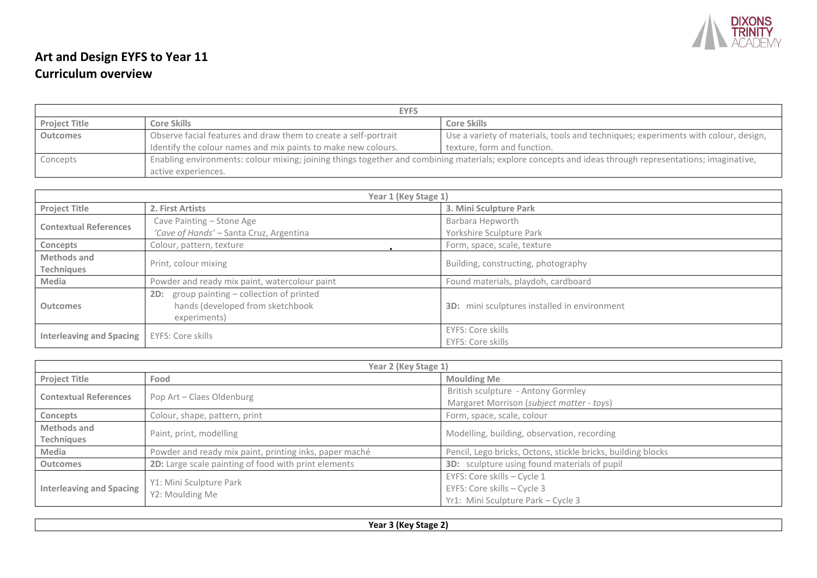

## **Art and Design EYFS to Year 11 Curriculum overview**

| <b>EYFS</b>          |                                                                 |                                                                                                                                                         |  |
|----------------------|-----------------------------------------------------------------|---------------------------------------------------------------------------------------------------------------------------------------------------------|--|
| <b>Project Title</b> | <b>Core Skills</b>                                              | <b>Core Skills</b>                                                                                                                                      |  |
| Outcomes             | Observe facial features and draw them to create a self-portrait | Use a variety of materials, tools and techniques; experiments with colour, design,                                                                      |  |
|                      | Identify the colour names and mix paints to make new colours.   | texture, form and function.                                                                                                                             |  |
| Concepts             |                                                                 | Enabling environments: colour mixing; joining things together and combining materials; explore concepts and ideas through representations; imaginative, |  |
|                      | active experiences.                                             |                                                                                                                                                         |  |

| Year 1 (Key Stage 1)                                                                          |                                                                                                   |                                              |  |
|-----------------------------------------------------------------------------------------------|---------------------------------------------------------------------------------------------------|----------------------------------------------|--|
| <b>Project Title</b>                                                                          | 2. First Artists                                                                                  | 3. Mini Sculpture Park                       |  |
| <b>Contextual References</b>                                                                  | Cave Painting - Stone Age<br>'Cave of Hands' - Santa Cruz, Argentina                              | Barbara Hepworth<br>Yorkshire Sculpture Park |  |
| Concepts                                                                                      | Colour, pattern, texture                                                                          | Form, space, scale, texture                  |  |
| Methods and<br>Techniques                                                                     | Print, colour mixing                                                                              | Building, constructing, photography          |  |
| Media<br>Found materials, playdoh, cardboard<br>Powder and ready mix paint, watercolour paint |                                                                                                   |                                              |  |
| <b>Outcomes</b>                                                                               | group painting - collection of printed<br>2D:<br>hands (developed from sketchbook<br>experiments) | 3D: mini sculptures installed in environment |  |
| <b>Interleaving and Spacing</b>                                                               | EYFS: Core skills                                                                                 | EYFS: Core skills<br>EYFS: Core skills       |  |

| Year 2 (Key Stage 1)             |                                                        |                                                                                                  |  |
|----------------------------------|--------------------------------------------------------|--------------------------------------------------------------------------------------------------|--|
| <b>Project Title</b>             | Food                                                   | <b>Moulding Me</b>                                                                               |  |
| <b>Contextual References</b>     | Pop Art - Claes Oldenburg                              | British sculpture - Antony Gormley<br>Margaret Morrison (subject matter - toys)                  |  |
| Concepts                         | Colour, shape, pattern, print                          | Form, space, scale, colour                                                                       |  |
| <b>Methods and</b><br>Techniques | Paint, print, modelling                                | Modelling, building, observation, recording                                                      |  |
| Media                            | Powder and ready mix paint, printing inks, paper maché | Pencil, Lego bricks, Octons, stickle bricks, building blocks                                     |  |
| <b>Outcomes</b>                  | 2D: Large scale painting of food with print elements   | 3D: sculpture using found materials of pupil                                                     |  |
| <b>Interleaving and Spacing</b>  | Y1: Mini Sculpture Park<br>Y2: Moulding Me             | EYFS: Core skills - Cycle 1<br>EYFS: Core skills - Cycle 3<br>Yr1: Mini Sculpture Park - Cycle 3 |  |

**Year 3 (Key Stage 2)**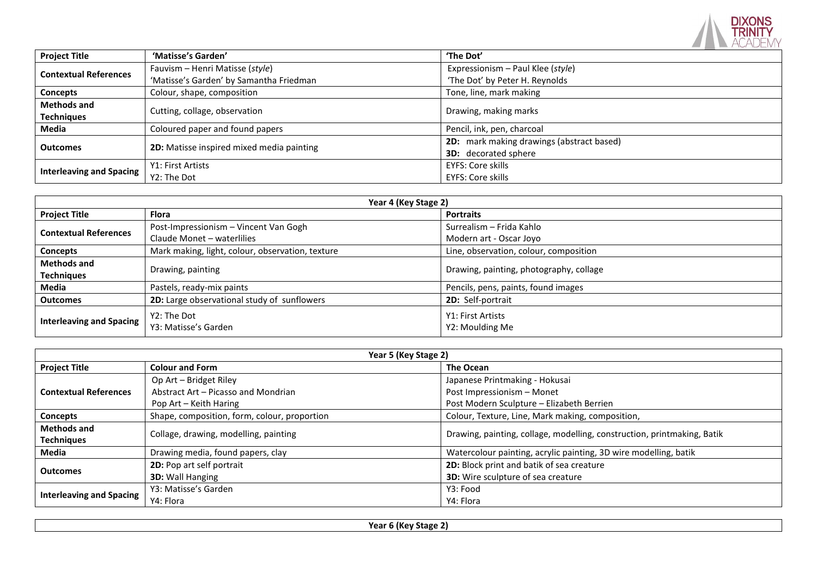

**DIXONS** 

| Year 4 (Key Stage 2)            |                                                  |                                         |  |
|---------------------------------|--------------------------------------------------|-----------------------------------------|--|
| <b>Project Title</b>            | <b>Flora</b>                                     | <b>Portraits</b>                        |  |
| <b>Contextual References</b>    | Post-Impressionism - Vincent Van Gogh            | Surrealism – Frida Kahlo                |  |
|                                 | Claude Monet - waterlilies                       | Modern art - Oscar Joyo                 |  |
| <b>Concepts</b>                 | Mark making, light, colour, observation, texture | Line, observation, colour, composition  |  |
| <b>Methods and</b>              |                                                  | Drawing, painting, photography, collage |  |
| <b>Techniques</b>               | Drawing, painting                                |                                         |  |
| Media                           | Pastels, ready-mix paints                        | Pencils, pens, paints, found images     |  |
| <b>Outcomes</b>                 | 2D: Large observational study of sunflowers      | 2D: Self-portrait                       |  |
| <b>Interleaving and Spacing</b> | Y2: The Dot<br>Y3: Matisse's Garden              | Y1: First Artists<br>Y2: Moulding Me    |  |

| Year 5 (Key Stage 2)            |                                                                                                       |                                                                         |  |
|---------------------------------|-------------------------------------------------------------------------------------------------------|-------------------------------------------------------------------------|--|
| <b>Project Title</b>            | <b>Colour and Form</b>                                                                                | The Ocean                                                               |  |
|                                 | Op Art - Bridget Riley                                                                                | Japanese Printmaking - Hokusai                                          |  |
| <b>Contextual References</b>    | Abstract Art - Picasso and Mondrian                                                                   | Post Impressionism - Monet                                              |  |
|                                 | Pop Art – Keith Haring                                                                                | Post Modern Sculpture - Elizabeth Berrien                               |  |
| Concepts                        | Shape, composition, form, colour, proportion                                                          | Colour, Texture, Line, Mark making, composition,                        |  |
| <b>Methods and</b>              | Collage, drawing, modelling, painting                                                                 | Drawing, painting, collage, modelling, construction, printmaking, Batik |  |
| <b>Techniques</b>               |                                                                                                       |                                                                         |  |
| Media                           | Drawing media, found papers, clay<br>Watercolour painting, acrylic painting, 3D wire modelling, batik |                                                                         |  |
|                                 | 2D: Pop art self portrait                                                                             | 2D: Block print and batik of sea creature                               |  |
| <b>Outcomes</b>                 | <b>3D:</b> Wall Hanging                                                                               | <b>3D:</b> Wire sculpture of sea creature                               |  |
| <b>Interleaving and Spacing</b> | Y3: Matisse's Garden                                                                                  | Y3: Food                                                                |  |
|                                 | Y4: Flora                                                                                             | Y4: Flora                                                               |  |

**Year 6 (Key Stage 2)**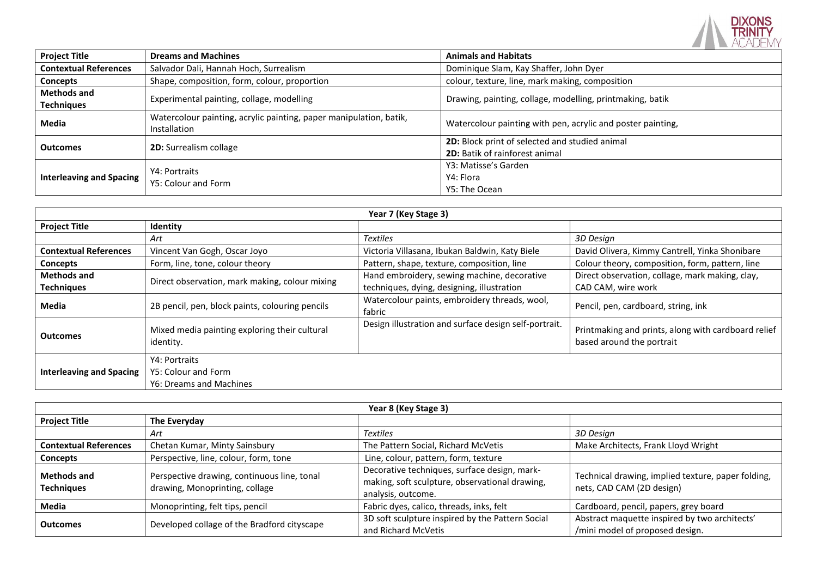|                                         |                                                                                    |                                                                                         | <b>DIXONS</b><br><b>TRINITY</b> |
|-----------------------------------------|------------------------------------------------------------------------------------|-----------------------------------------------------------------------------------------|---------------------------------|
| <b>Project Title</b>                    | <b>Dreams and Machines</b>                                                         | <b>Animals and Habitats</b>                                                             |                                 |
| <b>Contextual References</b>            | Salvador Dali, Hannah Hoch, Surrealism                                             | Dominique Slam, Kay Shaffer, John Dyer                                                  |                                 |
| Concepts                                | Shape, composition, form, colour, proportion                                       | colour, texture, line, mark making, composition                                         |                                 |
| <b>Methods and</b><br><b>Techniques</b> | Experimental painting, collage, modelling                                          | Drawing, painting, collage, modelling, printmaking, batik                               |                                 |
| Media                                   | Watercolour painting, acrylic painting, paper manipulation, batik,<br>Installation | Watercolour painting with pen, acrylic and poster painting,                             |                                 |
| <b>Outcomes</b>                         | <b>2D:</b> Surrealism collage                                                      | 2D: Block print of selected and studied animal<br><b>2D:</b> Batik of rainforest animal |                                 |
| <b>Interleaving and Spacing</b>         | Y4: Portraits<br>Y5: Colour and Form                                               | Y3: Matisse's Garden<br>Y4: Flora<br>Y5: The Ocean                                      |                                 |

| Year 7 (Key Stage 3)            |                                                                 |                                                         |                                                                                  |  |
|---------------------------------|-----------------------------------------------------------------|---------------------------------------------------------|----------------------------------------------------------------------------------|--|
| <b>Project Title</b>            | Identity                                                        |                                                         |                                                                                  |  |
|                                 | Art                                                             | <b>Textiles</b>                                         | 3D Design                                                                        |  |
| <b>Contextual References</b>    | Vincent Van Gogh, Oscar Joyo                                    | Victoria Villasana, Ibukan Baldwin, Katy Biele          | David Olivera, Kimmy Cantrell, Yinka Shonibare                                   |  |
| <b>Concepts</b>                 | Form, line, tone, colour theory                                 | Pattern, shape, texture, composition, line              | Colour theory, composition, form, pattern, line                                  |  |
| <b>Methods and</b>              |                                                                 | Hand embroidery, sewing machine, decorative             | Direct observation, collage, mark making, clay,                                  |  |
| <b>Techniques</b>               | Direct observation, mark making, colour mixing                  | techniques, dying, designing, illustration              | CAD CAM, wire work                                                               |  |
| Media                           | 2B pencil, pen, block paints, colouring pencils                 | Watercolour paints, embroidery threads, wool,<br>fabric | Pencil, pen, cardboard, string, ink                                              |  |
| <b>Outcomes</b>                 | Mixed media painting exploring their cultural<br>identity.      | Design illustration and surface design self-portrait.   | Printmaking and prints, along with cardboard relief<br>based around the portrait |  |
| <b>Interleaving and Spacing</b> | Y4: Portraits<br>Y5: Colour and Form<br>Y6: Dreams and Machines |                                                         |                                                                                  |  |

| Year 8 (Key Stage 3)                    |                                                                               |                                                                                                                      |                                                                                  |
|-----------------------------------------|-------------------------------------------------------------------------------|----------------------------------------------------------------------------------------------------------------------|----------------------------------------------------------------------------------|
| <b>Project Title</b>                    | The Everyday                                                                  |                                                                                                                      |                                                                                  |
|                                         | Art                                                                           | <b>Textiles</b>                                                                                                      | 3D Design                                                                        |
| <b>Contextual References</b>            | Chetan Kumar, Minty Sainsbury                                                 | The Pattern Social, Richard McVetis                                                                                  | Make Architects, Frank Lloyd Wright                                              |
| <b>Concepts</b>                         | Perspective, line, colour, form, tone                                         | Line, colour, pattern, form, texture                                                                                 |                                                                                  |
| <b>Methods and</b><br><b>Techniques</b> | Perspective drawing, continuous line, tonal<br>drawing, Monoprinting, collage | Decorative techniques, surface design, mark-<br>making, soft sculpture, observational drawing,<br>analysis, outcome. | Technical drawing, implied texture, paper folding,<br>nets, CAD CAM (2D design)  |
| Media                                   | Monoprinting, felt tips, pencil                                               | Fabric dyes, calico, threads, inks, felt                                                                             | Cardboard, pencil, papers, grey board                                            |
| <b>Outcomes</b>                         | Developed collage of the Bradford cityscape                                   | 3D soft sculpture inspired by the Pattern Social<br>and Richard McVetis                                              | Abstract maquette inspired by two architects'<br>/mini model of proposed design. |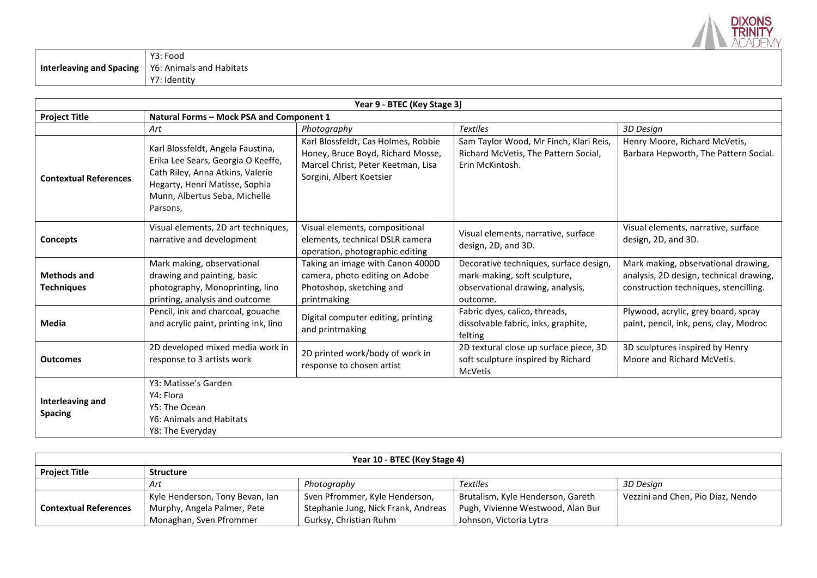

**Interleaving and Spacing** Y3: Food Y6: Animals and Habitats Y7: Identity

| Year 9 - BTEC (Key Stage 3)             |                                                                                                                                                                                            |                                                                                                                                            |                                                                                                                        |                                                                                                                         |
|-----------------------------------------|--------------------------------------------------------------------------------------------------------------------------------------------------------------------------------------------|--------------------------------------------------------------------------------------------------------------------------------------------|------------------------------------------------------------------------------------------------------------------------|-------------------------------------------------------------------------------------------------------------------------|
| <b>Project Title</b>                    | Natural Forms - Mock PSA and Component 1                                                                                                                                                   |                                                                                                                                            |                                                                                                                        |                                                                                                                         |
|                                         | Art                                                                                                                                                                                        | Photography                                                                                                                                | <b>Textiles</b>                                                                                                        | 3D Design                                                                                                               |
| <b>Contextual References</b>            | Karl Blossfeldt, Angela Faustina,<br>Erika Lee Sears, Georgia O Keeffe,<br>Cath Riley, Anna Atkins, Valerie<br>Hegarty, Henri Matisse, Sophia<br>Munn, Albertus Seba, Michelle<br>Parsons, | Karl Blossfeldt, Cas Holmes, Robbie<br>Honey, Bruce Boyd, Richard Mosse,<br>Marcel Christ, Peter Keetman, Lisa<br>Sorgini, Albert Koetsier | Sam Taylor Wood, Mr Finch, Klari Reis,<br>Richard McVetis, The Pattern Social,<br>Erin McKintosh.                      | Henry Moore, Richard McVetis,<br>Barbara Hepworth, The Pattern Social.                                                  |
| <b>Concepts</b>                         | Visual elements, 2D art techniques,<br>narrative and development                                                                                                                           | Visual elements, compositional<br>elements, technical DSLR camera<br>operation, photographic editing                                       | Visual elements, narrative, surface<br>design, 2D, and 3D.                                                             | Visual elements, narrative, surface<br>design, 2D, and 3D.                                                              |
| <b>Methods and</b><br><b>Techniques</b> | Mark making, observational<br>drawing and painting, basic<br>photography, Monoprinting, lino<br>printing, analysis and outcome                                                             | Taking an image with Canon 4000D<br>camera, photo editing on Adobe<br>Photoshop, sketching and<br>printmaking                              | Decorative techniques, surface design,<br>mark-making, soft sculpture,<br>observational drawing, analysis,<br>outcome. | Mark making, observational drawing,<br>analysis, 2D design, technical drawing,<br>construction techniques, stencilling. |
| Media                                   | Pencil, ink and charcoal, gouache<br>and acrylic paint, printing ink, lino                                                                                                                 | Digital computer editing, printing<br>and printmaking                                                                                      | Fabric dyes, calico, threads,<br>dissolvable fabric, inks, graphite,<br>felting                                        | Plywood, acrylic, grey board, spray<br>paint, pencil, ink, pens, clay, Modroc                                           |
| <b>Outcomes</b>                         | 2D developed mixed media work in<br>response to 3 artists work                                                                                                                             | 2D printed work/body of work in<br>response to chosen artist                                                                               | 2D textural close up surface piece, 3D<br>soft sculpture inspired by Richard<br><b>McVetis</b>                         | 3D sculptures inspired by Henry<br>Moore and Richard McVetis.                                                           |
| Interleaving and<br><b>Spacing</b>      | Y3: Matisse's Garden<br>Y4: Flora<br>Y5: The Ocean<br>Y6: Animals and Habitats<br>Y8: The Everyday                                                                                         |                                                                                                                                            |                                                                                                                        |                                                                                                                         |

| Year 10 - BTEC (Key Stage 4) |                                                    |                                     |                                   |                                   |  |
|------------------------------|----------------------------------------------------|-------------------------------------|-----------------------------------|-----------------------------------|--|
| <b>Project Title</b>         | <b>Structure</b>                                   |                                     |                                   |                                   |  |
|                              | <b>Textiles</b><br>3D Desian<br>Photography<br>Art |                                     |                                   |                                   |  |
|                              | Kyle Henderson, Tony Bevan, Ian                    | Sven Pfrommer, Kyle Henderson,      | Brutalism, Kyle Henderson, Gareth | Vezzini and Chen, Pio Diaz, Nendo |  |
| <b>Contextual References</b> | Murphy, Angela Palmer, Pete                        | Stephanie Jung, Nick Frank, Andreas | Pugh, Vivienne Westwood, Alan Bur |                                   |  |
|                              | Monaghan, Sven Pfrommer                            | Gurksy, Christian Ruhm              | Johnson, Victoria Lytra           |                                   |  |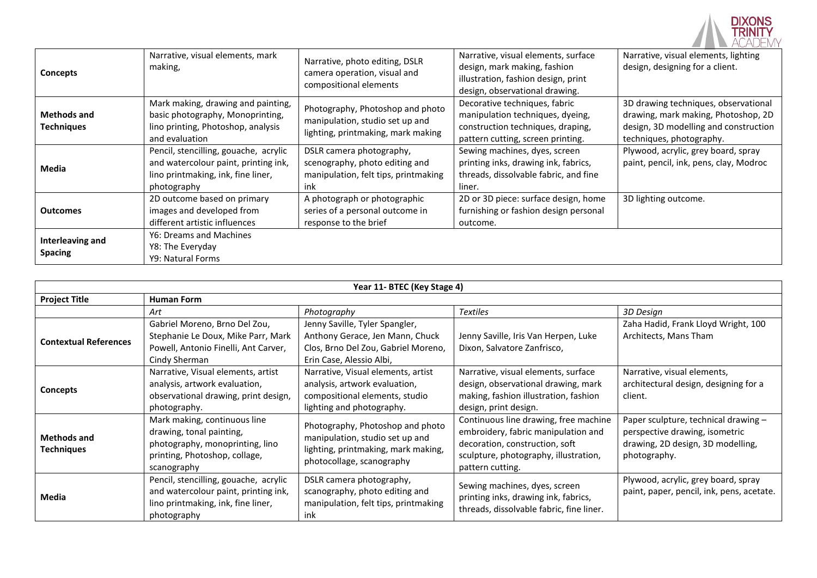

| Concepts                                | Narrative, visual elements, mark<br>making,                                                                                        | Narrative, photo editing, DSLR<br>camera operation, visual and<br>compositional elements                  | Narrative, visual elements, surface<br>design, mark making, fashion<br>illustration, fashion design, print<br>design, observational drawing. | Narrative, visual elements, lighting<br>design, designing for a client.                                                                          |
|-----------------------------------------|------------------------------------------------------------------------------------------------------------------------------------|-----------------------------------------------------------------------------------------------------------|----------------------------------------------------------------------------------------------------------------------------------------------|--------------------------------------------------------------------------------------------------------------------------------------------------|
| <b>Methods and</b><br><b>Techniques</b> | Mark making, drawing and painting,<br>basic photography, Monoprinting,<br>lino printing, Photoshop, analysis<br>and evaluation     | Photography, Photoshop and photo<br>manipulation, studio set up and<br>lighting, printmaking, mark making | Decorative techniques, fabric<br>manipulation techniques, dyeing,<br>construction techniques, draping,<br>pattern cutting, screen printing.  | 3D drawing techniques, observational<br>drawing, mark making, Photoshop, 2D<br>design, 3D modelling and construction<br>techniques, photography. |
| Media                                   | Pencil, stencilling, gouache, acrylic<br>and watercolour paint, printing ink,<br>lino printmaking, ink, fine liner,<br>photography | DSLR camera photography,<br>scenography, photo editing and<br>manipulation, felt tips, printmaking<br>ink | Sewing machines, dyes, screen<br>printing inks, drawing ink, fabrics,<br>threads, dissolvable fabric, and fine<br>liner.                     | Plywood, acrylic, grey board, spray<br>paint, pencil, ink, pens, clay, Modroc                                                                    |
| <b>Outcomes</b>                         | 2D outcome based on primary<br>images and developed from<br>different artistic influences                                          | A photograph or photographic<br>series of a personal outcome in<br>response to the brief                  | 2D or 3D piece: surface design, home<br>furnishing or fashion design personal<br>outcome.                                                    | 3D lighting outcome.                                                                                                                             |
| Interleaving and<br><b>Spacing</b>      | Y6: Dreams and Machines<br>Y8: The Everyday<br>Y9: Natural Forms                                                                   |                                                                                                           |                                                                                                                                              |                                                                                                                                                  |

| Year 11- BTEC (Key Stage 4)             |                                                                                                                                             |                                                                                                                                         |                                                                                                                                                                             |                                                                                                                             |
|-----------------------------------------|---------------------------------------------------------------------------------------------------------------------------------------------|-----------------------------------------------------------------------------------------------------------------------------------------|-----------------------------------------------------------------------------------------------------------------------------------------------------------------------------|-----------------------------------------------------------------------------------------------------------------------------|
| <b>Project Title</b>                    | Human Form                                                                                                                                  |                                                                                                                                         |                                                                                                                                                                             |                                                                                                                             |
|                                         | Art                                                                                                                                         | Photography                                                                                                                             | <b>Textiles</b>                                                                                                                                                             | 3D Design                                                                                                                   |
| <b>Contextual References</b>            | Gabriel Moreno, Brno Del Zou,<br>Stephanie Le Doux, Mike Parr, Mark<br>Powell, Antonio Finelli, Ant Carver,<br>Cindy Sherman                | Jenny Saville, Tyler Spangler,<br>Anthony Gerace, Jen Mann, Chuck<br>Clos, Brno Del Zou, Gabriel Moreno,<br>Erin Case, Alessio Albi,    | Jenny Saville, Iris Van Herpen, Luke<br>Dixon, Salvatore Zanfrisco,                                                                                                         | Zaha Hadid, Frank Lloyd Wright, 100<br>Architects, Mans Tham                                                                |
| <b>Concepts</b>                         | Narrative, Visual elements, artist<br>analysis, artwork evaluation,<br>observational drawing, print design,<br>photography.                 | Narrative, Visual elements, artist<br>analysis, artwork evaluation,<br>compositional elements, studio<br>lighting and photography.      | Narrative, visual elements, surface<br>design, observational drawing, mark<br>making, fashion illustration, fashion<br>design, print design.                                | Narrative, visual elements,<br>architectural design, designing for a<br>client.                                             |
| <b>Methods and</b><br><b>Techniques</b> | Mark making, continuous line<br>drawing, tonal painting,<br>photography, monoprinting, lino<br>printing, Photoshop, collage,<br>scanography | Photography, Photoshop and photo<br>manipulation, studio set up and<br>lighting, printmaking, mark making,<br>photocollage, scanography | Continuous line drawing, free machine<br>embroidery, fabric manipulation and<br>decoration, construction, soft<br>sculpture, photography, illustration,<br>pattern cutting. | Paper sculpture, technical drawing -<br>perspective drawing, isometric<br>drawing, 2D design, 3D modelling,<br>photography. |
| Media                                   | Pencil, stencilling, gouache, acrylic<br>and watercolour paint, printing ink,<br>lino printmaking, ink, fine liner,<br>photography          | DSLR camera photography,<br>scanography, photo editing and<br>manipulation, felt tips, printmaking<br>ink                               | Sewing machines, dyes, screen<br>printing inks, drawing ink, fabrics,<br>threads, dissolvable fabric, fine liner.                                                           | Plywood, acrylic, grey board, spray<br>paint, paper, pencil, ink, pens, acetate.                                            |